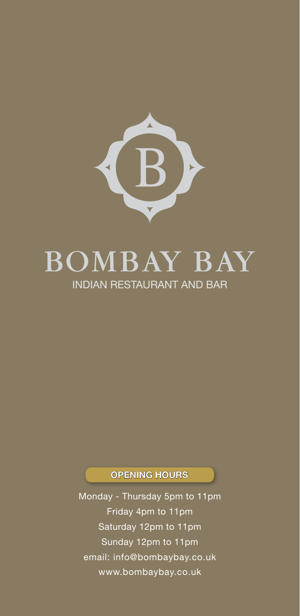

# BOMBAY BAY INDIAN RESTAURANT AND BAR

### OPENING HOURS

Monday - Thursday 5pm to 11pm Friday 4pm to 11pm Saturday 12pm to 11pm Sunday 12pm to 11pm email: info@bombaybay.co.uk www.bombaybay.co.uk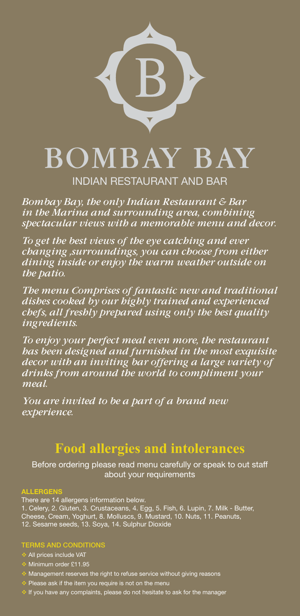

*Bombay Bay, the only Indian Restaurant & Bar in the Marina and surrounding area, combining spectacular views with a memorable menu and decor.*

*To get the best views of the eye catching and ever changing ,surroundings, you can choose from either dining inside or enjoy the warm weather outside on the patio.*

*The menu Comprises of fantastic new and traditional dishes cooked by our highly trained and experienced chefs, all freshly prepared using only the best quality ingredients.*

*To enjoy your perfect meal even more, the restaurant has been designed and furnished in the most exquisite decor with an inviting bar offering a large variety of drinks from around the world to compliment your meal.*

*You are invited to be a part of a brand new experience.*

## **Food allergies and intolerances**

Before ordering please read menu carefully or speak to out staff about your requirements

#### ALLERGENS

There are 14 allergens information below. 1. Celery, 2. Gluten, 3. Crustaceans, 4. Egg, 5. Fish, 6. Lupin, 7. Milk - Butter, Cheese, Cream, Yoghurt, 8. Molluscs, 9. Mustard, 10. Nuts, 11. Peanuts, 12. Sesame seeds, 13. Soya, 14. Sulphur Dioxide

#### TERMS AND CONDITIONS

All prices include VAT

- Minimum order £11.95
- $\bullet$  Management reserves the right to refuse service without giving reasons
- Please ask if the item you require is not on the menu
- If you have any complaints, please do not hesitate to ask for the manager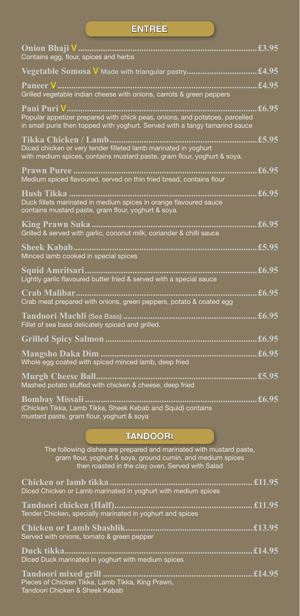| <b>ENTREE</b>                                                                                                                                                                 |                                               |
|-------------------------------------------------------------------------------------------------------------------------------------------------------------------------------|-----------------------------------------------|
| Contains egg, flour, spices and herbs                                                                                                                                         | £3.95                                         |
|                                                                                                                                                                               |                                               |
| Grilled vegetable indian cheese with onions, carrots & green peppers                                                                                                          |                                               |
| Pani Puri V……….<br>Popular appetizer prepared with chick peas, onions, and potatoes, parcelled<br>in small puris then topped with yoghurt. Served with a tangy tamarind sauce | £6.95                                         |
| Tikka Chicken / Lamb<br>Diced chicken or very tender filleted lamb marinated in yoghurt<br>with medium spices, contains mustard paste, gram flour, yoghurt & soya.            | $\overline{\textcolor{red}{\mathbf{£}}}$ 5.95 |
| Medium spiced flavoured, served on thin fried bread, contains flour                                                                                                           | £6.95                                         |
| Duck fillets marinated in medium spices in orange flavoured sauce<br>contains mustard paste, gram flour, yoghurt & soya.                                                      | £6.95                                         |
| Grilled & served with garlic, coconut milk, coriander & chilli sauce                                                                                                          | £6.95                                         |
| Sheek Kabab<br>Minced lamb cooked in special spices                                                                                                                           | £5.95                                         |
| Lightly garlic flavoured butter fried & served with a special sauce                                                                                                           | £6.95                                         |
| Crab meat prepared with onions, green peppers, potato & coated egg                                                                                                            | £6.95                                         |
| Tandoori Machli (Sea Bass)<br>Fillet of sea bass delicately spiced and grilled.                                                                                               | $\overline{\textbf{\textsterling}}6.95$       |
|                                                                                                                                                                               | £6.95                                         |
| Whole egg coated with spiced minced lamb, deep fried                                                                                                                          | $\overline{\textbf{\textup{£}}6.95}$          |
| <b>Murgh Cheese Ball</b><br>Mashed potato stuffed with chicken & cheese, deep fried                                                                                           | $\overline{\textcolor{red}{\mathbf{£}}}$ 5.95 |
|                                                                                                                                                                               |                                               |

**Bombay Missali............................................................................£6.95** (Chicken Tikka, Lamb Tikka, Sheek Kebab and Squid) contains mustard paste, gram flour, yoghurt & soya

#### TANDOORI

The following dishes are prepared and marinated with mustard paste, gram flour, yoghurt & soya, ground cumin, and medium spices then roasted in the clay oven. Served with Salad

| Diced Chicken or Lamb marinated in yoghurt with medium spices                      |  |
|------------------------------------------------------------------------------------|--|
| Tender Chicken, specially marinated in yoghurt and spices                          |  |
| Served with onions, tomato & green pepper                                          |  |
| Diced Duck marinated in yoghurt with medium spices                                 |  |
| Pieces of Chicken Tikka, Lamb Tikka, King Prawn,<br>Tandoori Chicken & Sheek Kebab |  |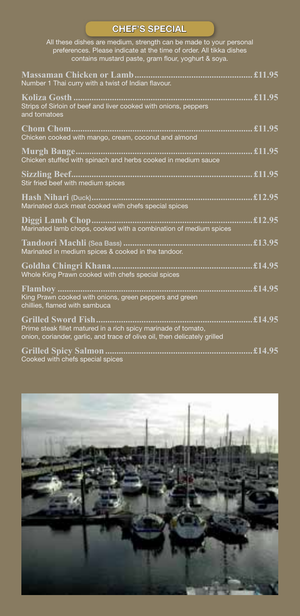## CHEF'S SPECIAL

All these dishes are medium, strength can be made to your personal preferences. Please indicate at the time of order. All tikka dishes contains mustard paste, gram flour, yoghurt & soya.

| Number 1 Thai curry with a twist of Indian flavour.                                                                                         |  |
|---------------------------------------------------------------------------------------------------------------------------------------------|--|
| Strips of Sirloin of beef and liver cooked with onions, peppers<br>and tomatoes                                                             |  |
| Chicken cooked with mango, cream, coconut and almond                                                                                        |  |
| Chicken stuffed with spinach and herbs cooked in medium sauce                                                                               |  |
| Stir fried beef with medium spices                                                                                                          |  |
| Marinated duck meat cooked with chefs special spices                                                                                        |  |
| Marinated lamb chops, cooked with a combination of medium spices                                                                            |  |
| Marinated in medium spices & cooked in the tandoor.                                                                                         |  |
| Whole King Prawn cooked with chefs special spices                                                                                           |  |
| King Prawn cooked with onions, green peppers and green<br>chillies, flamed with sambuca                                                     |  |
| Prime steak fillet matured in a rich spicy marinade of tomato,<br>onion, coriander, garlic, and trace of olive oil, then delicately grilled |  |
| Cooked with chefs special spices                                                                                                            |  |

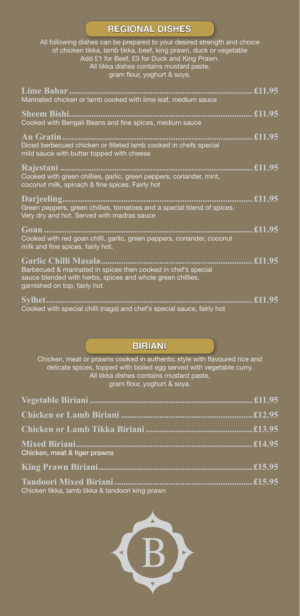#### REGIONAL DISHES

All following dishes can be prepared to your desired strength and choice of chicken tikka, lamb tikka, beef, king prawn, duck or vegetable Add £1 for Beef, £3 for Duck and King Prawn. All tikka dishes contains mustard paste, gram flour, yoghurt & soya.

| Marinated chicken or lamb cooked with lime leaf, medium sauce                                                               |  |
|-----------------------------------------------------------------------------------------------------------------------------|--|
|                                                                                                                             |  |
| Cooked with Bengali Beans and fine spices, medium sauce                                                                     |  |
|                                                                                                                             |  |
| Diced berbecued chicken or filleted lamb cooked in chefs special<br>mild sauce with butter topped with cheese               |  |
|                                                                                                                             |  |
| Cooked with green chillies, garlic, green peppers, coriander, mint,<br>coconut milk, spinach & fine spices. Fairly hot      |  |
|                                                                                                                             |  |
| Green peppers, green chillies, tomatoes and a special blend of spices.<br>Very dry and hot. Served with madras sauce        |  |
|                                                                                                                             |  |
| Cooked with red goan chilli, garlic, green peppers, coriander, coconut<br>milk and fine spices, fairly hot.                 |  |
|                                                                                                                             |  |
| Barbecued & marinated in spices then cooked in chef's special<br>sauce blended with herbs, spices and whole green chillies, |  |
| garnished on top, fairly hot                                                                                                |  |
|                                                                                                                             |  |
| Cooked with special chilli (naga) and chef's special sauce, fairly hot                                                      |  |

#### BIRIANI

Chicken, meat or prawns cooked in authentic style with flavoured rice and delicate spices, topped with boiled egg served with vegetable curry. All tikka dishes contains mustard paste, gram flour, yoghurt & soya.

| Chicken, meat & tiger prawns |  |
|------------------------------|--|
|                              |  |
|                              |  |

Chicken tikka, lamb tikka & tandoori king prawn